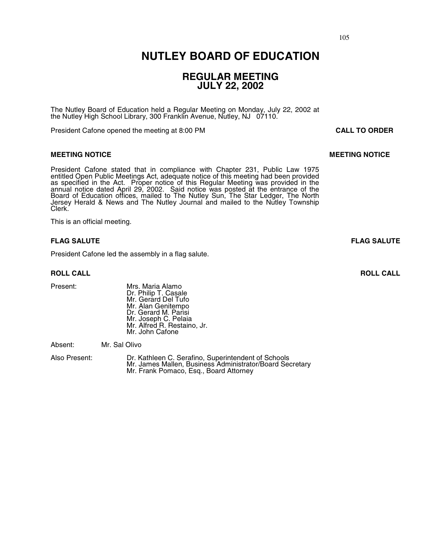### **NUTLEY BOARD OF EDUCATION**

### **REGULAR MEETING JULY 22, 2002**

The Nutley Board of Education held a Regular Meeting on Monday, July 22, 2002 at the Nutley High School Library, 300 Franklin Avenue, Nutley, NJ 07110.

President Cafone opened the meeting at 8:00 PM **CALL TO ORDER**

### **MEETING NOTICE SECOND SECOND SECOND MEETING NOTICE**

President Cafone stated that in compliance with Chapter 231, Public Law 1975 entitled Open Public Meetings Act, adequate notice of this meeting had been provided as specified in the Act. Proper notice of this Regular Meeting was provided in the annual notice dated April 29, 2002. Said notice was posted at the entrance of the Board of Education offices, mailed to The Nutley Sun, The Star Ledger, The North Jersey Herald & News and The Nutley Journal and mailed to the Nutley Township Clerk.

This is an official meeting.

### **FLAG SALUTE FLAG SALUTE**

President Cafone led the assembly in a flag salute.

Present: Mrs. Maria Alamo Dr. Philip T. Casale Mr. Gerard Del Tufo Mr. Alan Genitempo Dr. Gerard M. Parisi Mr. Joseph C. Pelaia Mr. Alfred R. Restaino, Jr. Mr. John Cafone

Absent: Mr. Sal Olivo

Also Present: Dr. Kathleen C. Serafino, Superintendent of Schools Mr. James Mallen, Business Administrator/Board Secretary<br>Mr. Frank Pomaco, Esq., Board Attorney

**ROLL CALL ROLL CALL**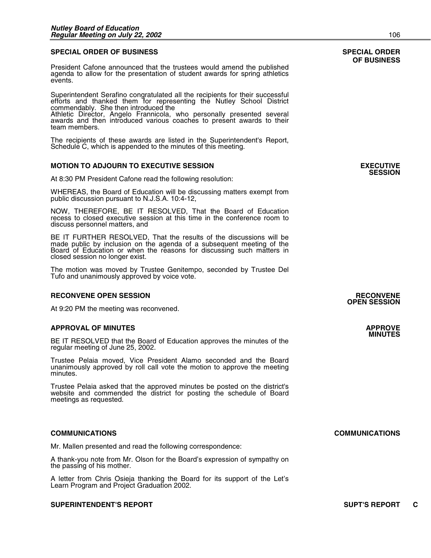### **SPECIAL ORDER OF BUSINESS SPECIAL ORDER**

President Cafone announced that the trustees would amend the published agenda to allow for the presentation of student awards for spring athletics events.

Superintendent Serafino congratulated all the recipients for their successful efforts and thanked them for representing the Nutley School District commendably. She then introduced the

Athletic Director, Angelo Frannicola, who personally presented several awards and then introduced various coaches to present awards to their team members.

The recipients of these awards are listed in the Superintendent's Report, Schedule C, which is appended to the minutes of this meeting.

### **MOTION TO ADJOURN TO EXECUTIVE SESSION EXECUTIVE**

At 8:30 PM President Cafone read the following resolution:

WHEREAS, the Board of Education will be discussing matters exempt from public discussion pursuant to N.J.S.A. 10:4-12,

NOW, THEREFORE, BE IT RESOLVED, That the Board of Education recess to closed executive session at this time in the conference room to discuss personnel matters, and

BE IT FURTHER RESOLVED, That the results of the discussions will be made public by inclusion on the agenda of a subsequent meeting of the Board of Education or when the reasons for discussing such matters in closed session no longer exist.

The motion was moved by Trustee Genitempo, seconded by Trustee Del Tufo and unanimously approved by voice vote.

#### **RECONVENE OPEN SESSION RECONVENE**

At 9:20 PM the meeting was reconvened.

### **APPROVAL OF MINUTES APPROVE**

BE IT RESOLVED that the Board of Education approves the minutes of the regular meeting of June 25, 2002.

Trustee Pelaia moved, Vice President Alamo seconded and the Board unanimously approved by roll call vote the motion to approve the meeting minutes.

Trustee Pelaia asked that the approved minutes be posted on the district's website and commended the district for posting the schedule of Board meetings as requested.

Mr. Mallen presented and read the following correspondence:

A thank-you note from Mr. Olson for the Board's expression of sympathy on the passing of his mother.

A letter from Chris Osieja thanking the Board for its support of the Let's Learn Program and Project Graduation 2002.

### **SUPERINTENDENT'S REPORT SUPT'S REPORT C**

## **OF BUSINESS**

**SESSION** 

## **OPEN SESSION**

### **COMMUNICATIONS COMMUNICATIONS**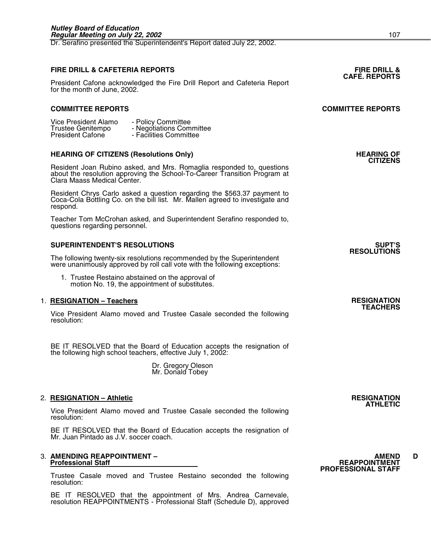Dr. Serafino presented the Superintendent's Report dated July 22, 2002.

## **FIRE DRILL & CAFETERIA REPORTS FIRE DRILL & CAFÉ. REPORTS**

President Cafone acknowledged the Fire Drill Report and Cafeteria Report for the month of June, 2002.

### **COMMITTEE REPORTS COMMITTEE REPORTS**

| Vice President Alamo    | - Policy Committee       |
|-------------------------|--------------------------|
| Trustee Genitempo       | - Negotiations Committee |
| <b>President Cafone</b> | - Facilities Committee   |

## HEARING OF CITIZENS (Resolutions Only) **HEARING OF CITIZENS**<br>CITIZENS

Resident Joan Rubino asked, and Mrs. Romaglia responded to, questions about the resolution approving the School-To-Career Transition Program at Clara Maass Medical Center.

Resident Chrys Carlo asked a question regarding the \$563.37 payment to Coca-Cola Bottling Co. on the bill list. Mr. Mallen agreed to investigate and respond.

Teacher Tom McCrohan asked, and Superintendent Serafino responded to, questions regarding personnel.

### **SUPERINTENDENT'S RESOLUTIONS SUPT'S**

The following twenty-six resolutions recommended by the Superintendent were unanimously approved by roll call vote with the following exceptions:

 1. Trustee Restaino abstained on the approval of motion No. 19, the appointment of substitutes.

### 1. **RESIGNATION – Teachers RESIGNATION TEACHERS**

Vice President Alamo moved and Trustee Casale seconded the following resolution:

BE IT RESOLVED that the Board of Education accepts the resignation of the following high school teachers, effective July 1, 2002:

> Dr. Gregory Oleson Mr. Donald Tobey

### 2. **RESIGNATION – Athletic RESIGNATION ATHLETIC**

Vice President Alamo moved and Trustee Casale seconded the following resolution:

BE IT RESOLVED that the Board of Education accepts the resignation of Mr. Juan Pintado as J.V. soccer coach.

## 3. **AMENDING REAPPOINTMENT – AMEND D Professional Staff REAPPOINTMENT**

Trustee Casale moved and Trustee Restaino seconded the following resolution:

BE IT RESOLVED that the appointment of Mrs. Andrea Carnevale, resolution REAPPOINTMENTS - Professional Staff (Schedule D), approved

# **PROFESSIONAL STAFF**

**RESOLUTIONS**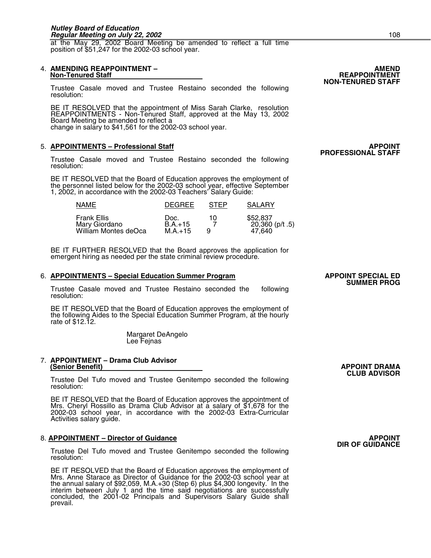at the May 29, 2002 Board Meeting be amended to reflect a full time position of \$51,247 for the 2002-03 school year.

## 4. **AMENDING REAPPOINTMENT – AMEND**

Trustee Casale moved and Trustee Restaino seconded the following resolution:

BE IT RESOLVED that the appointment of Miss Sarah Clarke, resolution REAPPOINTMENTS - Non-Tenured Staff, approved at the May 13, 2002 Board Meeting be amended to reflect a change in salary to \$41,561 for the 2002-03 school year.

### 5. **APPOINTMENTS – Professional Staff APPOINT PROFESSIONAL STAFF**

Trustee Casale moved and Trustee Restaino seconded the following resolution:

BE IT RESOLVED that the Board of Education approves the employment of the personnel listed below for the 2002-03 school year, effective September 1, 2002, in accordance with the 2002-03 Teachers' Salary Guide:

| <b>NAME</b>                                                 | <b>DEGREE</b>                  | <b>STEP</b> | <b>SALARY</b>                           |
|-------------------------------------------------------------|--------------------------------|-------------|-----------------------------------------|
| <b>Frank Ellis</b><br>Mary Giordano<br>William Montes deOca | Doc.<br>$B.A.+15$<br>$M.A.+15$ | 10.<br>Q    | \$52,837<br>$20,360$ (p/t .5)<br>47.640 |

BE IT FURTHER RESOLVED that the Board approves the application for emergent hiring as needed per the state criminal review procedure.

#### 6. APPOINTMENTS – Special Education Summer Program **APPOINT SPECIAL ED**

Trustee Casale moved and Trustee Restaino seconded the following resolution:

BE IT RESOLVED that the Board of Education approves the employment of the following Aides to the Special Education Summer Program, at the hourly rate of \$12.12.

Margaret DeAngelo Lee Fejnas

## 7. **APPOINTMENT – Drama Club Advisor**

**(Senior Benefit)** APPOINT DRAMA<br> **CLUB ADVISOR** Trustee Oenitempo seconded the following<br>
Trustee Del Tufo moved and Trustee Genitempo seconded the following resolution:

BE IT RESOLVED that the Board of Education approves the appointment of Mrs. Cheryl Rossillo as Drama Club Advisor at a salary of \$1,678 for the 2002-03 school year, in accordance with the 2002-03 Extra-Curricular Activities salary guide.

### 8. **APPOINTMENT – Director of Guidance APPOINT DIR OF GUIDANCE**

Trustee Del Tufo moved and Trustee Genitempo seconded the following resolution:

BE IT RESOLVED that the Board of Education approves the employment of Mrs. Anne Starace as Director of Guidance for the 2002-03 school year at the annual salary of \$92,059, M.A.+30 (Step 6) plus \$4,300 longevity. In the interim between July 1 and the time said negotiations are successfully concluded, the 2001-02 Principals and Supervisors Salary Guide shall prevail.

## **SUMMER PROG**

**NON-TENURED STAFF**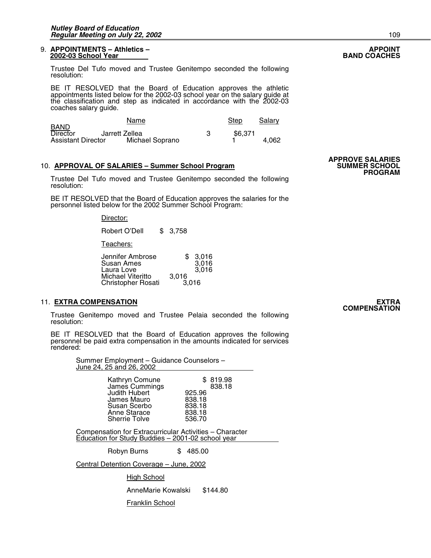#### 9. **APPOINTMENTS – Athletics – APPOINT 2002-03 School Year**

Trustee Del Tufo moved and Trustee Genitempo seconded the following resolution:

BE IT RESOLVED that the Board of Education approves the athletic appointments listed below for the 2002-03 school year on the salary guide at the classification and step as indicated in accordance with the 2002-03 coaches salary guide.

|                                | Name            | Step    | Salary |
|--------------------------------|-----------------|---------|--------|
| <b>BAND</b><br><b>Director</b> | Jarrett Zellea  | \$6.371 |        |
| <b>Assistant Director</b>      | Michael Soprano |         | 4.062  |

## APPROVE SALARIES – Summer School Program **APPROVE SALARIES**<br>SUMMER SCHOOL

**TERRIGARIES – SUMMER SEALARY:**<br>Trustee Del Tufo moved and Trustee Genitempo seconded the following resolution:

BE IT RESOLVED that the Board of Education approves the salaries for the personnel listed below for the 2002 Summer School Program:

Director:

| Robert O'Dell                                  | \$3,758        |                         |
|------------------------------------------------|----------------|-------------------------|
| Teachers:                                      |                |                         |
| Jennifer Ambrose<br>Susan Ames<br>Laura Love   |                | 3,016<br>3,016<br>3.016 |
| Michael Viteritto<br><b>Christopher Rosati</b> | 3,016<br>3.016 |                         |

### 11. **EXTRA COMPENSATION EXTRA**

Trustee Genitempo moved and Trustee Pelaia seconded the following resolution:

BE IT RESOLVED that the Board of Education approves the following personnel be paid extra compensation in the amounts indicated for services rendered:

> Summer Employment – Guidance Counselors – June 24, 25 and 26, 2002

| James Cummings<br><b>Judith Hubert</b><br>James Mauro<br>Susan Scerbo<br>Anne Starace<br><b>Sherrie Tolve</b> | 925.96<br>838.18<br>838.18<br>838.18<br>536.70 |
|---------------------------------------------------------------------------------------------------------------|------------------------------------------------|
|---------------------------------------------------------------------------------------------------------------|------------------------------------------------|

 Compensation for Extracurricular Activities – Character Education for Study Buddies – 2001-02 school year

Robyn Burns \$ 485.00

Central Detention Coverage – June, 2002

High School

AnneMarie Kowalski \$144.80

**Franklin School** 

**COMPENSATION**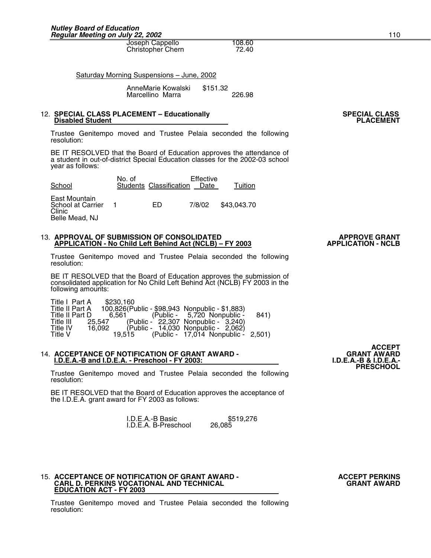Joseph Cappello 108.60<br>Christopher Chern 72.40 Christopher Chern

Saturday Morning Suspensions – June, 2002

 AnneMarie Kowalski \$151.32 Marcellino Marra 226.98

## 12. SPECIAL CLASS PLACEMENT – Educationally **SPECIAL CLASS** SPECIAL CLASS<br>Disabled Student **PLACEMENT**

Trustee Genitempo moved and Trustee Pelaia seconded the following resolution:

BE IT RESOLVED that the Board of Education approves the attendance of a student in out-of-district Special Education classes for the 2002-03 school year as follows:

| School                                                         | No. of | Students Classification | Effective<br>Date | Tuition     |
|----------------------------------------------------------------|--------|-------------------------|-------------------|-------------|
| East Mountain<br>School at Carrier<br>Clinic<br>Belle Mead, NJ |        | FD                      | 7/8/02            | \$43,043.70 |

#### 13. APPROVAL OF SUBMISSION OF CONSOLIDATED<br>APPLICATION - No Child Left Behind Act (NCLB) – FY 2003 **APPLICATION - NCLB APPLICATION - No Child Left Behind Act (NCLB) - FY 2003**

Trustee Genitempo moved and Trustee Pelaia seconded the following resolution:

BE IT RESOLVED that the Board of Education approves the submission of consolidated application for No Child Left Behind Act (NCLB) FY 2003 in the following amounts:

|             | Title I Part A  | \$230.160 |  |                                                |      |
|-------------|-----------------|-----------|--|------------------------------------------------|------|
|             | Title II Part A |           |  | 100,826(Public - \$98,943 Nonpublic - \$1,883) |      |
|             | Title II Part D |           |  | $6,561$ (Public - 5,720 Nonpublic -            | 841) |
| Title III - |                 |           |  | 25,547 (Public - 22,307 Nonpublic - 3,240)     |      |
| Title IV    |                 |           |  | 16,092 (Public - 14,030 Nonpublic - 2,062)     |      |
| Title V     |                 |           |  | 19,515 (Public - 17,014 Nonpublic - 2,501)     |      |

### 14. **ACCEPTANCE OF NOTIFICATION OF GRANT AWARD - GRANT AWARD I.D.E.A.-B and I.D.E.A. - Preschool - FY 2003: I.D.E.A.-B & I.D.E.A.- PRESCHOOL**

Trustee Genitempo moved and Trustee Pelaia seconded the following resolution:

BE IT RESOLVED that the Board of Education approves the acceptance of the I.D.E.A. grant award for FY 2003 as follows:

> **I.D.E.A.-B Basic 5519,276**<br>I.D.E.A. B-Preschool 26.085 I.D.E.A. B-Preschool

#### 15. **ACCEPTANCE OF NOTIFICATION OF GRANT AWARD - ACCEPT PERKINS**<br>CARL D. PERKINS VOCATIONAL AND TECHNICAL **AND AUSTRAL AND TECHNICAL CARL D. PERKINS VOCATIONAL AND TECHNICAL GRANT AWARD EDUCATION ACT - FY 2003**

Trustee Genitempo moved and Trustee Pelaia seconded the following resolution:

**ACCEPT**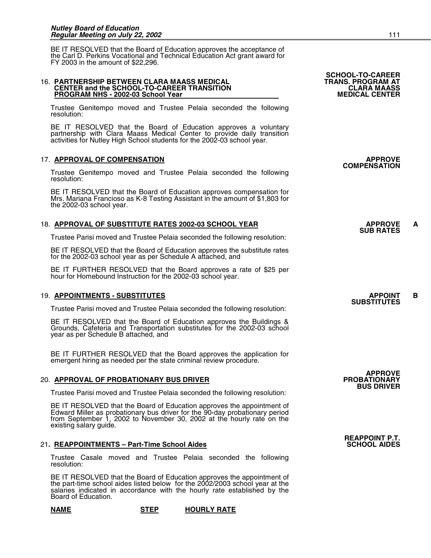BE IT RESOLVED that the Board of Education approves the acceptance of the Carl D. Perkins Vocational and Technical Education Act grant award for FY 2003 in the amount of \$22,296.

#### 16. **PARTNERSHIP BETWEEN CLARA MAASS MEDICAL TRANS. PROGRAM AT CENTER and the SCHOOL-TO-CAREER TRANSITION CLARA MAASS PROGRAM NHS - 2002-03 School Year MEDICAL CENTER**

Trustee Genitempo moved and Trustee Pelaia seconded the following resolution:

BE IT RESOLVED that the Board of Education approves a voluntary partnership with Clara Maass Medical Center to provide daily transition activities for Nutley High School students for the 2002-03 school year.

## 17. <u>APPROVAL OF COMPENSATION</u><br>COMPENSATION **APPROVE**

Trustee Genitempo moved and Trustee Pelaia seconded the following resolution:

BE IT RESOLVED that the Board of Education approves compensation for Mrs. Mariana Francioso as K-8 Testing Assistant in the amount of \$1,803 for the 2002-03 school year.

### 18. <u>APPROVAL OF SUBSTITUTE RATES 2002-03 SCHOOL YEAR APPROVE APPROVE ARTES</u>

Trustee Parisi moved and Trustee Pelaia seconded the following resolution:

BE IT RESOLVED that the Board of Education approves the substitute rates for the 2002-03 school year as per Schedule A attached, and

BE IT FURTHER RESOLVED that the Board approves a rate of \$25 per hour for Homebound Instruction for the 2002-03 school year.

### 19. **APPOINTMENTS - SUBSTITUTES APPOINT B**

Trustee Parisi moved and Trustee Pelaia seconded the following resolution:

BE IT RESOLVED that the Board of Education approves the Buildings & Grounds, Cafeteria and Transportation substitutes for the 2002-03 school year as per Schedule B attached, and

BE IT FURTHER RESOLVED that the Board approves the application for emergent hiring as needed per the state criminal review procedure.

### 20. APPROVAL OF PROBATIONARY BUS DRIVER

Trustee Parisi moved and Trustee Pelaia seconded the following resolution:

BE IT RESOLVED that the Board of Education approves the appointment of Edward Miller as probationary bus driver for the 90-day probationary period from September 1, 2002 to November 30, 2002 at the hourly rate on the existing salary guide.

### 21. REAPPOINTMENTS - Part-Time School Aides

Trustee Casale moved and Trustee Pelaia seconded the following resolution:

BE IT RESOLVED that the Board of Education approves the appointment of the part-time school aides listed below for the 2002/2003 school year at the salaries indicated in accordance with the hourly rate established by the Board of Education.

| <b>NAME</b> | <b>STEP</b> | <b>HOURLY RATE</b> |
|-------------|-------------|--------------------|
|-------------|-------------|--------------------|

**SCHOOL-TO-CAREER** 

## **SUBSTITUTES**

**REAPPOINT P.T.** 

**APPROVE**<br>PROBATIONARY

**BUS DRIVER**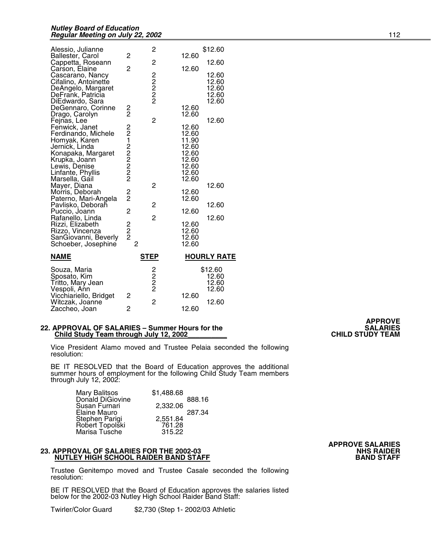| Alessio, Julianne<br>Ballester, Carol<br>Cappetta, Roseann<br>Carson, Elaine<br>Cascarano, Nancy<br>Cifalino, Antoinette<br>DeAngelo, Margaret<br>DeFrank, Patricia<br>DiEdwardo, Sara<br>DeGennaro, Corinne<br>Drago, Carolyn<br>Fejnas, Lee<br>Fenwick, Janet<br>Ferdinando, Michele<br>Homyak, Karen<br>Jernick, Linda<br>Konapaka, Margaret | 2<br>$\overline{2}$<br>2<br>2<br>22122222           | 2<br>2<br>22222<br>$\overline{c}$  | 12.60<br>12.60<br>12.60<br>12.60<br>12.60<br>12.60<br>11.90<br>12.60<br>12.60                   | \$12.60<br>12.60<br>12.60<br>12.60<br>12.60<br>12.60<br>12.60<br>12.60 |
|-------------------------------------------------------------------------------------------------------------------------------------------------------------------------------------------------------------------------------------------------------------------------------------------------------------------------------------------------|-----------------------------------------------------|------------------------------------|-------------------------------------------------------------------------------------------------|------------------------------------------------------------------------|
| Krupka, Joann<br>Lewis, Denise<br>Linfante, Phyllis<br>Marsella, Gail<br>Mayer, Diana<br>Morris, Deborah<br>Paterno, Mari-Angela<br>Pavlisko, Deboraĥ<br>Puccio, Joann<br>Rafanello, Linda<br>Rizzi, Elizabeth<br>Rizzo, Vincenza<br>SanGiovanni, Beverly<br>Schoeber, Josephine                                                                | $\frac{2}{2}$<br>2<br>2<br>2<br>2<br>$\overline{2}$ | 2<br>2<br>2                        | 12.60<br>12.60<br>12.60<br>12.60<br>12.60<br>12.60<br>12.60<br>12.60<br>12.60<br>12.60<br>12.60 | 12.60<br>12.60<br>12.60                                                |
| NAME                                                                                                                                                                                                                                                                                                                                            |                                                     | <u>STEP</u>                        |                                                                                                 | <b>HOURLY RATE</b>                                                     |
| Souza, Maria<br>Sposato, Kim<br>Tritto, Mary Jean<br>Vespoli, Ann<br>Vicchiariello, Bridget<br>Witczak, Joanne<br>Zaccheo, Joan                                                                                                                                                                                                                 | 2<br>$\overline{c}$                                 | 2<br>2<br>2<br>2<br>$\overline{c}$ | 12.60<br>12.60                                                                                  | \$12.60<br>12.60<br>12.60<br>12.60<br>12.60                            |

#### **22. APPROVAL OF SALARIES – Summer Hours for the SALARIES 1998** SALARIES<br>Child Study Team through July 12, 2002<br>CHILD STUDY TEAM **Child Study Team through July 12, 2002**

Vice President Alamo moved and Trustee Pelaia seconded the following resolution:

BE IT RESOLVED that the Board of Education approves the additional summer hours of employment for the following Child Study Team members through July 12, 2002:

| <b>Mary Balitsos</b> | \$1,488.68 |        |
|----------------------|------------|--------|
| Donald DiGiovine     |            | 888.16 |
| Susan Furnari        | 2,332.06   |        |
| Elaine Mauro         |            | 287.34 |
| Stephen Parigi       | 2,551.84   |        |
| Robert Topolski      | 761.28     |        |
| Marisa Tusche        | 315.22     |        |

### **23. APPROVAL OF SALARIES FOR THE 2002-03 NHS RAIDER NUTLEY HIGH SCHOOL RAIDER BAND STAFF**

Trustee Genitempo moved and Trustee Casale seconded the following resolution:

BE IT RESOLVED that the Board of Education approves the salaries listed below for the 2002-03 Nutley High School Raider Band Staff:

Twirler/Color Guard \$2,730 (Step 1- 2002/03 Athletic

**APPROVE** 

# **APPROVE SALARIES**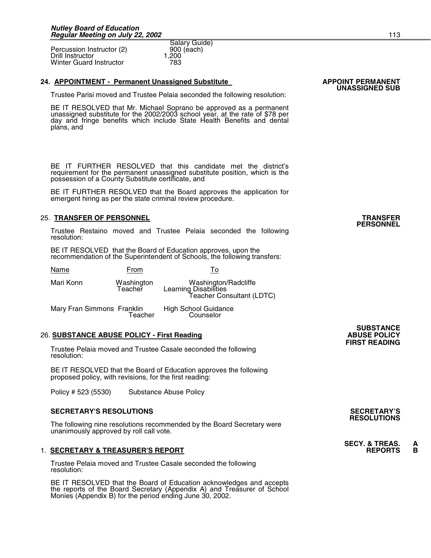Percussion Instructor (2) 900<br>Drill Instructor 1.200 Drill Instructor 1,200<br>Winter Guard Instructor 1783 Winter Guard Instructor

### **24. APPOINTMENT - Permanent Unassigned Substitute Law APPOINT PERMANENT**

Trustee Parisi moved and Trustee Pelaia seconded the following resolution:

Salary Guide)<br>900 (each)

BE IT RESOLVED that Mr. Michael Soprano be approved as a permanent unassigned substitute for the 2002/2003 school year, at the rate of \$78 per day and fringe benefits which include State Health Benefits and dental plans, and

BE IT FURTHER RESOLVED that this candidate met the district's requirement for the permanent unassigned substitute position, which is the possession of a County Substitute certificate, and

BE IT FURTHER RESOLVED that the Board approves the application for emergent hiring as per the state criminal review procedure.

### 25. **TRANSFER OF PERSONNEL TRANSFER**

Trustee Restaino moved and Trustee Pelaia seconded the following resolution:

BE IT RESOLVED that the Board of Education approves, upon the recommendation of the Superintendent of Schools, the following transfers:

| Name      | From                  |                                                                            |
|-----------|-----------------------|----------------------------------------------------------------------------|
| Mari Konn | Washington<br>Teacher | Washington/Radcliffe<br>Learning Disabilities<br>Teacher Consultant (LDTC) |
|           |                       |                                                                            |

Mary Fran Simmons Franklin High School Guidance Teacher Counselor

### **26. SUBSTANCE ABUSE POLICY - First Reading**

Trustee Pelaia moved and Trustee Casale seconded the following resolution:

BE IT RESOLVED that the Board of Education approves the following proposed policy, with revisions, for the first reading:

Policy # 523 (5530) Substance Abuse Policy

### **SECRETARY'S RESOLUTIONS SECRETARY'S**

The following nine resolutions recommended by the Board Secretary were unanimously approved by roll call vote.

### **1. SECRETARY & TREASURER'S REPORT**

Trustee Pelaia moved and Trustee Casale seconded the following resolution:

BE IT RESOLVED that the Board of Education acknowledges and accepts the reports of the Board Secretary (Appendix A) and Treasurer of School Monies (Appendix B) for the period ending June 30, 2002.

### **SUBSTANCE**<br>**ABUSE POLICY FIRST READING**

## **RESOLUTIONS**

## **SECY. & TREAS. A**

## **PERSONNEL**

**UNASSIGNED SUB**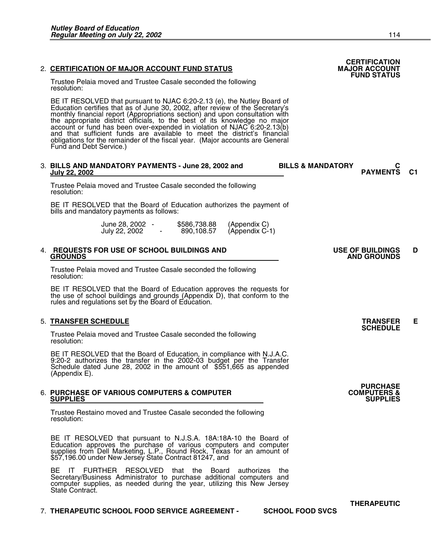### **2. CERTIFICATION OF MAJOR ACCOUNT FUND STATUS**

Trustee Pelaia moved and Trustee Casale seconded the following resolution:

BE IT RESOLVED that pursuant to NJAC 6:20-2.13 (e), the Nutley Board of Education certifies that as of June 30, 2002, after review of the Secretary's monthly financial report (Appropriations section) and upon consultation with the appropriate district officials, to the best of its knowledge no major account or fund has been over-expended in violation of NJAC 6:20-2.13(b) and that sufficient funds are available to meet the district's financial obligations for the remainder of the fiscal year. (Major accounts are General Fund and Debt Service.)

## 3. BILLS AND MANDATORY PAYMENTS - June 28, 2002 and **BILLS & MANDATORY** July 22, 2002

Trustee Pelaia moved and Trustee Casale seconded the following resolution:

BE IT RESOLVED that the Board of Education authorizes the payment of bills and mandatory payments as follows:

| June 28, 2002 | \$586,738.88 |                                |
|---------------|--------------|--------------------------------|
| July 22, 2002 | 890,108.57   | (Appendix C)<br>(Appendix C-1) |

## 4. **REQUESTS FOR USE OF SCHOOL BUILDINGS AND USE OF BUILDINGS D**

Trustee Pelaia moved and Trustee Casale seconded the following resolution:

BE IT RESOLVED that the Board of Education approves the requests for the use of school buildings and grounds (Appendix D), that conform to the rules and regulations set by the Board of Education.

### 5. **TRANSFER SCHEDULE TRANSFER E SCHEDULE**

Trustee Pelaia moved and Trustee Casale seconded the following resolution:

BE IT RESOLVED that the Board of Education, in compliance with N.J.A.C. 9:20-2 authorizes the transfer in the 2002-03 budget per the Transfer Schedule dated June 28, 2002 in the amount of \$551,665 as appended (Appendix E).

#### 6. **PURCHASE OF VARIOUS COMPUTERS & COMPUTER COMPUTERS & SUPPLIES SUPPLIES**

Trustee Restaino moved and Trustee Casale seconded the following resolution:

BE IT RESOLVED that pursuant to N.J.S.A. 18A:18A-10 the Board of Education approves the purchase of various computers and computer supplies from Dell Marketing, L.P., Round Rock, Texas for an amount of \$57,196.00 under New Jersey State Contract 81247, and

BE IT FURTHER RESOLVED that the Board authorizes the Secretary/Business Administrator to purchase additional computers and computer supplies, as needed during the year, utilizing this New Jersey State Contract.

### 7. **THERAPEUTIC SCHOOL FOOD SERVICE AGREEMENT - SCHOOL FOOD SVCS**

 **CERTIFICATION FUND STATUS** 

**PAYMENTS C1** 

## **GROUNDS AND GROUNDS**

**PURCHASE<br>COMPUTERS &** 

**THERAPEUTIC**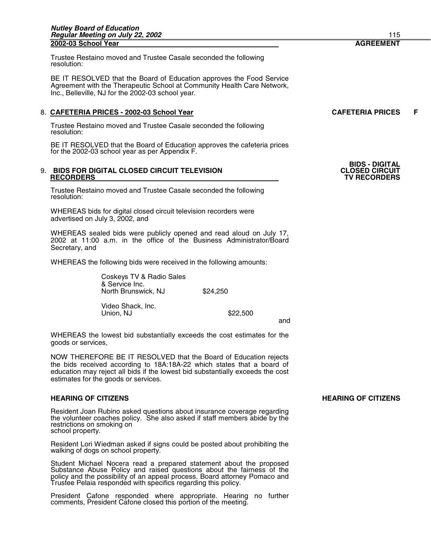Trustee Restaino moved and Trustee Casale seconded the following resolution:

BE IT RESOLVED that the Board of Education approves the Food Service Agreement with the Therapeutic School at Community Health Care Network, Inc., Belleville, NJ for the 2002-03 school year.

### 8. CAFETERIA PRICES - 2002-03 School Year **CAFETERIA PRICES** F

Trustee Restaino moved and Trustee Casale seconded the following resolution:

BE IT RESOLVED that the Board of Education approves the cafeteria prices for the 2002-03 school year as per Appendix F.

## 9. **BIDS FOR DIGITAL CLOSED CIRCUIT TELEVISION**<br>RECORDERS

Trustee Restaino moved and Trustee Casale seconded the following resolution:

WHEREAS bids for digital closed circuit television recorders were advertised on July 3, 2002, and

WHEREAS sealed bids were publicly opened and read aloud on July 17, 2002 at 11:00 a.m. in the office of the Business Administrator/Board Secretary, and

WHEREAS the following bids were received in the following amounts:

 Coskeys TV & Radio Sales & Service Inc. North Brunswick, NJ \$24,250 Video Shack, Inc. Union, NJ \$22,500

and

WHEREAS the lowest bid substantially exceeds the cost estimates for the goods or services,

NOW THEREFORE BE IT RESOLVED that the Board of Education rejects the bids received according to 18A:18A-22 which states that a board of education may reject all bids if the lowest bid substantially exceeds the cost estimates for the goods or services.

Resident Joan Rubino asked questions about insurance coverage regarding the volunteer coaches policy. She also asked if staff members abide by the restrictions on smoking on school property.

Resident Lori Wiedman asked if signs could be posted about prohibiting the walking of dogs on school property.

Student Michael Nocera read a prepared statement about the proposed Substance Abuse Policy and raised questions about the fairness of the policy and the possibility of an appeal process. Board attorney Pomaco and Trustee Pelaia responded with specifics regarding this policy.

President Cafone responded where appropriate. Hearing no further comments, President Cafone closed this portion of the meeting.

### **HEARING OF CITIZENS HEARING OF CITIZENS**

**BIDS - DIGITAL** 

 **RECORDERS TV RECORDERS**